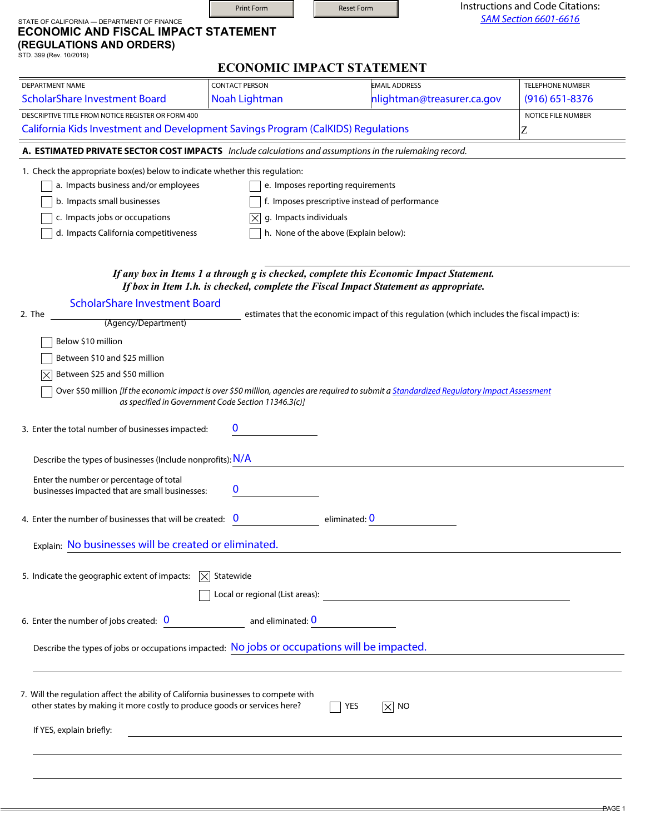|                                                                                                                                                                                                                                                                                                                                                                                       |                        | <b>ECONOMIC IMPACT STATEMENT</b>                                                                                                            |                         |
|---------------------------------------------------------------------------------------------------------------------------------------------------------------------------------------------------------------------------------------------------------------------------------------------------------------------------------------------------------------------------------------|------------------------|---------------------------------------------------------------------------------------------------------------------------------------------|-------------------------|
| <b>DEPARTMENT NAME</b>                                                                                                                                                                                                                                                                                                                                                                | <b>CONTACT PERSON</b>  | <b>EMAIL ADDRESS</b>                                                                                                                        | <b>TELEPHONE NUMBER</b> |
| <b>ScholarShare Investment Board</b>                                                                                                                                                                                                                                                                                                                                                  | Noah Lightman          | nlightman@treasurer.ca.gov                                                                                                                  | $(916)$ 651-8376        |
| DESCRIPTIVE TITLE FROM NOTICE REGISTER OR FORM 400                                                                                                                                                                                                                                                                                                                                    |                        |                                                                                                                                             | NOTICE FILE NUMBER      |
| California Kids Investment and Development Savings Program (CalKIDS) Regulations                                                                                                                                                                                                                                                                                                      |                        |                                                                                                                                             | Z                       |
| A. ESTIMATED PRIVATE SECTOR COST IMPACTS Include calculations and assumptions in the rulemaking record.                                                                                                                                                                                                                                                                               |                        |                                                                                                                                             |                         |
| 1. Check the appropriate box(es) below to indicate whether this regulation:                                                                                                                                                                                                                                                                                                           |                        |                                                                                                                                             |                         |
| a. Impacts business and/or employees                                                                                                                                                                                                                                                                                                                                                  |                        | e. Imposes reporting requirements                                                                                                           |                         |
| b. Impacts small businesses                                                                                                                                                                                                                                                                                                                                                           |                        | f. Imposes prescriptive instead of performance                                                                                              |                         |
| c. Impacts jobs or occupations                                                                                                                                                                                                                                                                                                                                                        | g. Impacts individuals |                                                                                                                                             |                         |
| d. Impacts California competitiveness                                                                                                                                                                                                                                                                                                                                                 |                        | h. None of the above (Explain below):                                                                                                       |                         |
| <b>ScholarShare Investment Board</b><br>2. The<br>(Agency/Department)<br>Below \$10 million                                                                                                                                                                                                                                                                                           |                        | estimates that the economic impact of this regulation (which includes the fiscal impact) is:                                                |                         |
|                                                                                                                                                                                                                                                                                                                                                                                       |                        |                                                                                                                                             |                         |
| Between \$10 and \$25 million                                                                                                                                                                                                                                                                                                                                                         |                        |                                                                                                                                             |                         |
| Between \$25 and \$50 million                                                                                                                                                                                                                                                                                                                                                         |                        |                                                                                                                                             |                         |
| as specified in Government Code Section 11346.3(c)]                                                                                                                                                                                                                                                                                                                                   |                        | Over \$50 million [If the economic impact is over \$50 million, agencies are required to submit a Standardized Regulatory Impact Assessment |                         |
| Describe the types of businesses (Include nonprofits): N/A                                                                                                                                                                                                                                                                                                                            |                        |                                                                                                                                             |                         |
| Enter the number or percentage of total<br>businesses impacted that are small businesses:                                                                                                                                                                                                                                                                                             | 0                      |                                                                                                                                             |                         |
|                                                                                                                                                                                                                                                                                                                                                                                       | eliminated: 0          |                                                                                                                                             |                         |
|                                                                                                                                                                                                                                                                                                                                                                                       |                        |                                                                                                                                             |                         |
| Explain: No businesses will be created or eliminated.                                                                                                                                                                                                                                                                                                                                 |                        |                                                                                                                                             |                         |
|                                                                                                                                                                                                                                                                                                                                                                                       |                        |                                                                                                                                             |                         |
|                                                                                                                                                                                                                                                                                                                                                                                       |                        |                                                                                                                                             |                         |
|                                                                                                                                                                                                                                                                                                                                                                                       |                        |                                                                                                                                             |                         |
|                                                                                                                                                                                                                                                                                                                                                                                       |                        |                                                                                                                                             |                         |
| 3. Enter the total number of businesses impacted:<br>4. Enter the number of businesses that will be created: $\overline{0}$<br>5. Indicate the geographic extent of impacts: $ \times $ Statewide<br>6. Enter the number of jobs created: $\frac{0}{0}$ and eliminated: $\frac{0}{0}$<br>Describe the types of jobs or occupations impacted: No jobs or occupations will be impacted. |                        |                                                                                                                                             |                         |
| 7. Will the regulation affect the ability of California businesses to compete with<br>other states by making it more costly to produce goods or services here?                                                                                                                                                                                                                        |                        | YES<br>$ \times $ NO                                                                                                                        |                         |

Print Form **Reset Form** 

STATE OF CALIFORNIA — DEPARTMENT OF FINANCE

Instructions and Code Citations: *SAM Section 6601-6616*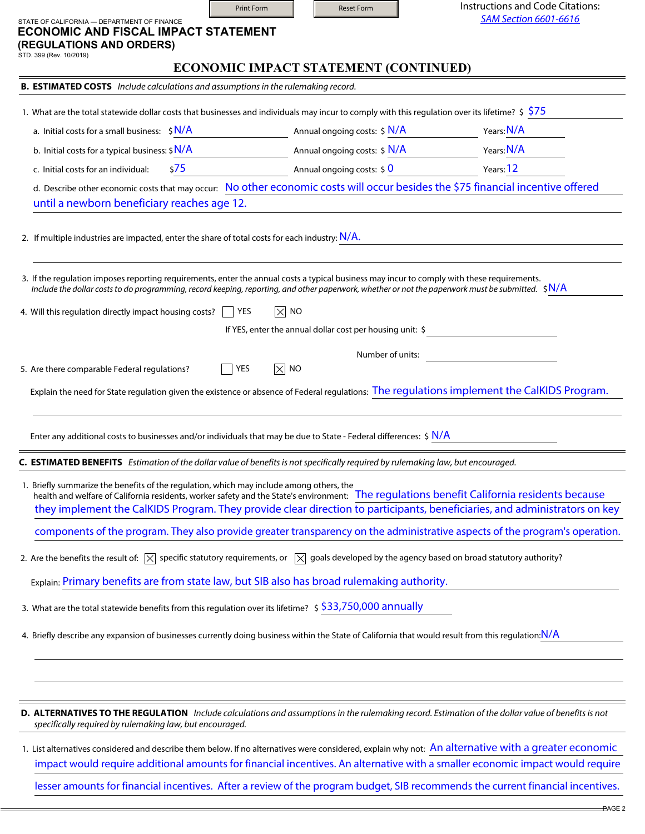|                                                                                                                                                                                                                                                                                       | Print Form                                      | <b>Reset Form</b>                     | Instructions and Code Citations:<br><b>SAM Section 6601-6616</b> |  |
|---------------------------------------------------------------------------------------------------------------------------------------------------------------------------------------------------------------------------------------------------------------------------------------|-------------------------------------------------|---------------------------------------|------------------------------------------------------------------|--|
| STATE OF CALIFORNIA - DEPARTMENT OF FINANCE<br><b>ECONOMIC AND FISCAL IMPACT STATEMENT</b>                                                                                                                                                                                            |                                                 |                                       |                                                                  |  |
| (REGULATIONS AND ORDERS)<br>STD. 399 (Rev. 10/2019)                                                                                                                                                                                                                                   |                                                 |                                       |                                                                  |  |
|                                                                                                                                                                                                                                                                                       |                                                 | ECONOMIC IMPACT STATEMENT (CONTINUED) |                                                                  |  |
| <b>B. ESTIMATED COSTS</b> Include calculations and assumptions in the rulemaking record.                                                                                                                                                                                              |                                                 |                                       |                                                                  |  |
|                                                                                                                                                                                                                                                                                       |                                                 |                                       |                                                                  |  |
| 1. What are the total statewide dollar costs that businesses and individuals may incur to comply with this regulation over its lifetime? $\frac{1}{5}$ $\frac{575}{27}$                                                                                                               |                                                 |                                       | Years: N/A                                                       |  |
| a. Initial costs for a small business: $\frac{1}{2}N/A$                                                                                                                                                                                                                               |                                                 |                                       |                                                                  |  |
| b. Initial costs for a typical business: $\frac{1}{2}N/A$                                                                                                                                                                                                                             |                                                 |                                       | Annual ongoing costs: \$ N/A Years: N/A                          |  |
| \$75<br>c. Initial costs for an individual:                                                                                                                                                                                                                                           |                                                 |                                       | Annual ongoing costs: \$ 0 Years: 12                             |  |
| d. Describe other economic costs that may occur: No other economic costs will occur besides the \$75 financial incentive offered<br>until a newborn beneficiary reaches age 12.                                                                                                       |                                                 |                                       |                                                                  |  |
|                                                                                                                                                                                                                                                                                       |                                                 |                                       |                                                                  |  |
| 2. If multiple industries are impacted, enter the share of total costs for each industry: $N/A$ .                                                                                                                                                                                     |                                                 |                                       |                                                                  |  |
|                                                                                                                                                                                                                                                                                       |                                                 |                                       |                                                                  |  |
| 3. If the regulation imposes reporting requirements, enter the annual costs a typical business may incur to comply with these requirements.                                                                                                                                           |                                                 |                                       |                                                                  |  |
| Include the dollar costs to do programming, record keeping, reporting, and other paperwork, whether or not the paperwork must be submitted. $\pm N/A$                                                                                                                                 |                                                 |                                       |                                                                  |  |
| 4. Will this regulation directly impact housing costs?                                                                                                                                                                                                                                | $ \overline{\times} $ NO<br>YES<br>$\mathbf{I}$ |                                       |                                                                  |  |
|                                                                                                                                                                                                                                                                                       |                                                 |                                       | If YES, enter the annual dollar cost per housing unit: \$        |  |
|                                                                                                                                                                                                                                                                                       |                                                 |                                       |                                                                  |  |
| 5. Are there comparable Federal regulations?                                                                                                                                                                                                                                          | $ \times $ NO<br>$\overline{\phantom{a}}$ YES   | Number of units:                      |                                                                  |  |
| Explain the need for State regulation given the existence or absence of Federal regulations: The regulations implement the CalKIDS Program.                                                                                                                                           |                                                 |                                       |                                                                  |  |
|                                                                                                                                                                                                                                                                                       |                                                 |                                       |                                                                  |  |
|                                                                                                                                                                                                                                                                                       |                                                 |                                       |                                                                  |  |
| Enter any additional costs to businesses and/or individuals that may be due to State - Federal differences: $\frac{1}{2}$ N/A                                                                                                                                                         |                                                 |                                       |                                                                  |  |
| C. ESTIMATED BENEFITS Estimation of the dollar value of benefits is not specifically required by rulemaking law, but encouraged.                                                                                                                                                      |                                                 |                                       |                                                                  |  |
| 1. Briefly summarize the benefits of the regulation, which may include among others, the                                                                                                                                                                                              |                                                 |                                       |                                                                  |  |
| health and welfare of California residents, worker safety and the State's environment: The regulations benefit California residents because                                                                                                                                           |                                                 |                                       |                                                                  |  |
| they implement the CalKIDS Program. They provide clear direction to participants, beneficiaries, and administrators on key                                                                                                                                                            |                                                 |                                       |                                                                  |  |
| components of the program. They also provide greater transparency on the administrative aspects of the program's operation.                                                                                                                                                           |                                                 |                                       |                                                                  |  |
| 2. Are the benefits the result of: $\vert\overline{\times}\vert$ specific statutory requirements, or $\vert\overline{\times}\vert$ goals developed by the agency based on broad statutory authority?                                                                                  |                                                 |                                       |                                                                  |  |
|                                                                                                                                                                                                                                                                                       |                                                 |                                       |                                                                  |  |
| Explain: Primary benefits are from state law, but SIB also has broad rulemaking authority.                                                                                                                                                                                            |                                                 |                                       |                                                                  |  |
| 3. What are the total statewide benefits from this regulation over its lifetime? \$\$33,750,000 annually                                                                                                                                                                              |                                                 |                                       |                                                                  |  |
| 4. Briefly describe any expansion of businesses currently doing business within the State of California that would result from this regulation: N/A                                                                                                                                   |                                                 |                                       |                                                                  |  |
|                                                                                                                                                                                                                                                                                       |                                                 |                                       |                                                                  |  |
|                                                                                                                                                                                                                                                                                       |                                                 |                                       |                                                                  |  |
|                                                                                                                                                                                                                                                                                       |                                                 |                                       |                                                                  |  |
|                                                                                                                                                                                                                                                                                       |                                                 |                                       |                                                                  |  |
| D. ALTERNATIVES TO THE REGULATION Include calculations and assumptions in the rulemaking record. Estimation of the dollar value of benefits is not<br>specifically required by rulemaking law, but encouraged.                                                                        |                                                 |                                       |                                                                  |  |
|                                                                                                                                                                                                                                                                                       |                                                 |                                       |                                                                  |  |
| 1. List alternatives considered and describe them below. If no alternatives were considered, explain why not: An alternative with a greater economic<br>impact would require additional amounts for financial incentives. An alternative with a smaller economic impact would require |                                                 |                                       |                                                                  |  |
|                                                                                                                                                                                                                                                                                       |                                                 |                                       |                                                                  |  |
| lesser amounts for financial incentives. After a review of the program budget, SIB recommends the current financial incentives.                                                                                                                                                       |                                                 |                                       |                                                                  |  |

PAGE 2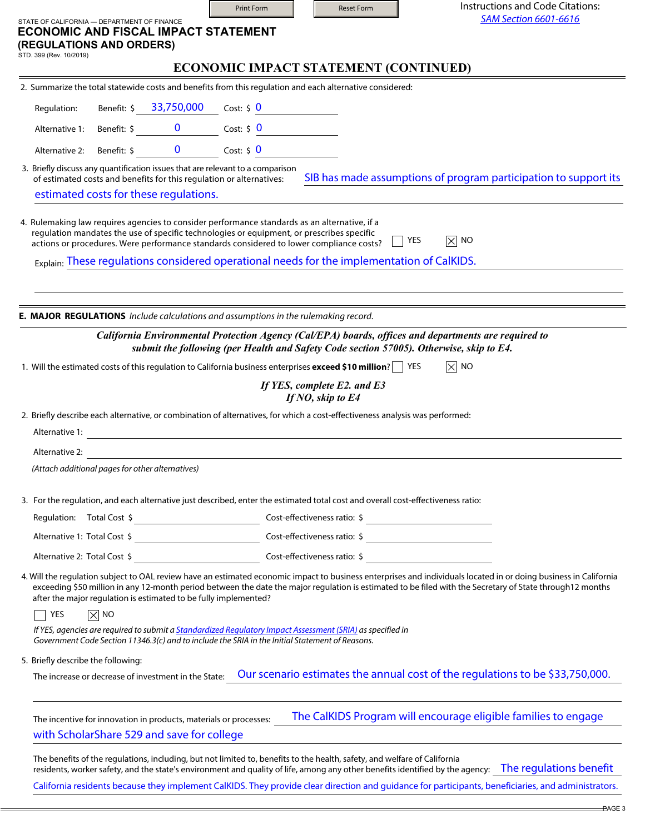|                                    |                                                                                                                                                                                                                                                                                                                                                                                     | Print Form                            | <b>Reset Form</b>                                | Instructions and Code Citations:<br><b>SAM Section 6601-6616</b>                                                                                                                                                                                                                                                                                                                                                                                                                                                                                                |
|------------------------------------|-------------------------------------------------------------------------------------------------------------------------------------------------------------------------------------------------------------------------------------------------------------------------------------------------------------------------------------------------------------------------------------|---------------------------------------|--------------------------------------------------|-----------------------------------------------------------------------------------------------------------------------------------------------------------------------------------------------------------------------------------------------------------------------------------------------------------------------------------------------------------------------------------------------------------------------------------------------------------------------------------------------------------------------------------------------------------------|
| STD. 399 (Rev. 10/2019)            | STATE OF CALIFORNIA - DEPARTMENT OF FINANCE<br><b>ECONOMIC AND FISCAL IMPACT STATEMENT</b><br>(REGULATIONS AND ORDERS)                                                                                                                                                                                                                                                              |                                       |                                                  |                                                                                                                                                                                                                                                                                                                                                                                                                                                                                                                                                                 |
|                                    |                                                                                                                                                                                                                                                                                                                                                                                     | ECONOMIC IMPACT STATEMENT (CONTINUED) |                                                  |                                                                                                                                                                                                                                                                                                                                                                                                                                                                                                                                                                 |
|                                    | 2. Summarize the total statewide costs and benefits from this regulation and each alternative considered:                                                                                                                                                                                                                                                                           |                                       |                                                  |                                                                                                                                                                                                                                                                                                                                                                                                                                                                                                                                                                 |
| Regulation:                        | Benefit: \$ 33,750,000                                                                                                                                                                                                                                                                                                                                                              | Cost: $$0$                            |                                                  |                                                                                                                                                                                                                                                                                                                                                                                                                                                                                                                                                                 |
|                                    |                                                                                                                                                                                                                                                                                                                                                                                     |                                       |                                                  |                                                                                                                                                                                                                                                                                                                                                                                                                                                                                                                                                                 |
|                                    | Alternative 2: Benefit: \$ 0 Cost: \$ 0                                                                                                                                                                                                                                                                                                                                             |                                       |                                                  |                                                                                                                                                                                                                                                                                                                                                                                                                                                                                                                                                                 |
|                                    | 3. Briefly discuss any quantification issues that are relevant to a comparison<br>of estimated costs and benefits for this regulation or alternatives:                                                                                                                                                                                                                              |                                       |                                                  | SIB has made assumptions of program participation to support its                                                                                                                                                                                                                                                                                                                                                                                                                                                                                                |
|                                    | estimated costs for these regulations.                                                                                                                                                                                                                                                                                                                                              |                                       |                                                  |                                                                                                                                                                                                                                                                                                                                                                                                                                                                                                                                                                 |
|                                    | 4. Rulemaking law requires agencies to consider performance standards as an alternative, if a<br>regulation mandates the use of specific technologies or equipment, or prescribes specific<br>actions or procedures. Were performance standards considered to lower compliance costs?<br>Explain: These regulations considered operational needs for the implementation of CalKIDS. |                                       |                                                  | YES<br>$ \overline{\times} $ No                                                                                                                                                                                                                                                                                                                                                                                                                                                                                                                                 |
|                                    | E. MAJOR REGULATIONS Include calculations and assumptions in the rulemaking record.                                                                                                                                                                                                                                                                                                 |                                       |                                                  |                                                                                                                                                                                                                                                                                                                                                                                                                                                                                                                                                                 |
|                                    |                                                                                                                                                                                                                                                                                                                                                                                     |                                       |                                                  | California Environmental Protection Agency (Cal/EPA) boards, offices and departments are required to<br>submit the following (per Health and Safety Code section 57005). Otherwise, skip to E4.                                                                                                                                                                                                                                                                                                                                                                 |
|                                    | 1. Will the estimated costs of this regulation to California business enterprises exceed \$10 million? T YES                                                                                                                                                                                                                                                                        |                                       |                                                  | $ \times $ No                                                                                                                                                                                                                                                                                                                                                                                                                                                                                                                                                   |
|                                    |                                                                                                                                                                                                                                                                                                                                                                                     |                                       | If YES, complete E2. and E3<br>If NO, skip to E4 |                                                                                                                                                                                                                                                                                                                                                                                                                                                                                                                                                                 |
|                                    | 2. Briefly describe each alternative, or combination of alternatives, for which a cost-effectiveness analysis was performed:                                                                                                                                                                                                                                                        |                                       |                                                  |                                                                                                                                                                                                                                                                                                                                                                                                                                                                                                                                                                 |
| Alternative 1:                     | <u> 1989 - Johann Barn, mars eta bainar eta bainar eta baina eta baina eta baina eta baina eta baina eta baina e</u>                                                                                                                                                                                                                                                                |                                       |                                                  |                                                                                                                                                                                                                                                                                                                                                                                                                                                                                                                                                                 |
| Alternative 2:                     | <u> 1989 - Johann Stoff, deutscher Stoffen und der Stoffen und der Stoffen und der Stoffen und der Stoffen und de</u>                                                                                                                                                                                                                                                               |                                       |                                                  |                                                                                                                                                                                                                                                                                                                                                                                                                                                                                                                                                                 |
|                                    | (Attach additional pages for other alternatives)                                                                                                                                                                                                                                                                                                                                    |                                       |                                                  |                                                                                                                                                                                                                                                                                                                                                                                                                                                                                                                                                                 |
|                                    | 3. For the regulation, and each alternative just described, enter the estimated total cost and overall cost-effectiveness ratio:                                                                                                                                                                                                                                                    |                                       |                                                  |                                                                                                                                                                                                                                                                                                                                                                                                                                                                                                                                                                 |
|                                    | Regulation: Total Cost \$                                                                                                                                                                                                                                                                                                                                                           |                                       |                                                  | $Cost\text{-}effectiveness\ ratio: $ \begin{array}{c} \text{\textcolor{red}{\large\bf 1}} & \text{\textcolor{red}{\large\bf 2}} \\ \text{\textcolor{red}{\large\bf 3}} & \text{\textcolor{red}{\large\bf 4}} & \text{\textcolor{red}{\large\bf 5}} \\ \text{\textcolor{red}{\large\bf 6}} & \text{\textcolor{red}{\large\bf 6}} & \text{\textcolor{red}{\large\bf 7}} \\ \text{\textcolor{red}{\large\bf 7}} & \text{\textcolor{red}{\large\bf 8}} & \text{\textcolor{red}{\large\bf 9}} \\ \text{\textcolor{red}{\large\bf 9}} & \text{\textcolor{red}{\large$ |
|                                    |                                                                                                                                                                                                                                                                                                                                                                                     |                                       |                                                  |                                                                                                                                                                                                                                                                                                                                                                                                                                                                                                                                                                 |
|                                    | Alternative 2: Total Cost \$                                                                                                                                                                                                                                                                                                                                                        |                                       |                                                  | Cost-effectiveness ratio: \$                                                                                                                                                                                                                                                                                                                                                                                                                                                                                                                                    |
|                                    | after the major regulation is estimated to be fully implemented?                                                                                                                                                                                                                                                                                                                    |                                       |                                                  | 4. Will the regulation subject to OAL review have an estimated economic impact to business enterprises and individuals located in or doing business in California<br>exceeding \$50 million in any 12-month period between the date the major regulation is estimated to be filed with the Secretary of State through12 months                                                                                                                                                                                                                                  |
| YES                                | $\boxtimes$ No                                                                                                                                                                                                                                                                                                                                                                      |                                       |                                                  |                                                                                                                                                                                                                                                                                                                                                                                                                                                                                                                                                                 |
|                                    | If YES, agencies are required to submit a <i>Standardized Regulatory Impact Assessment (SRIA)</i> as specified in<br>Government Code Section 11346.3(c) and to include the SRIA in the Initial Statement of Reasons.                                                                                                                                                                |                                       |                                                  |                                                                                                                                                                                                                                                                                                                                                                                                                                                                                                                                                                 |
| 5. Briefly describe the following: |                                                                                                                                                                                                                                                                                                                                                                                     |                                       |                                                  |                                                                                                                                                                                                                                                                                                                                                                                                                                                                                                                                                                 |
|                                    | The increase or decrease of investment in the State:                                                                                                                                                                                                                                                                                                                                |                                       |                                                  | Our scenario estimates the annual cost of the regulations to be \$33,750,000.                                                                                                                                                                                                                                                                                                                                                                                                                                                                                   |
|                                    | The incentive for innovation in products, materials or processes:<br>with ScholarShare 529 and save for college                                                                                                                                                                                                                                                                     |                                       |                                                  | The CalKIDS Program will encourage eligible families to engage                                                                                                                                                                                                                                                                                                                                                                                                                                                                                                  |
|                                    | The benefits of the regulations, including, but not limited to, benefits to the health, safety, and welfare of California                                                                                                                                                                                                                                                           |                                       |                                                  | residents, worker safety, and the state's environment and quality of life, among any other benefits identified by the agency: The regulations benefit<br>California residents because they implement CalKIDS. They provide clear direction and guidance for participants, beneficiaries, and administrators.                                                                                                                                                                                                                                                    |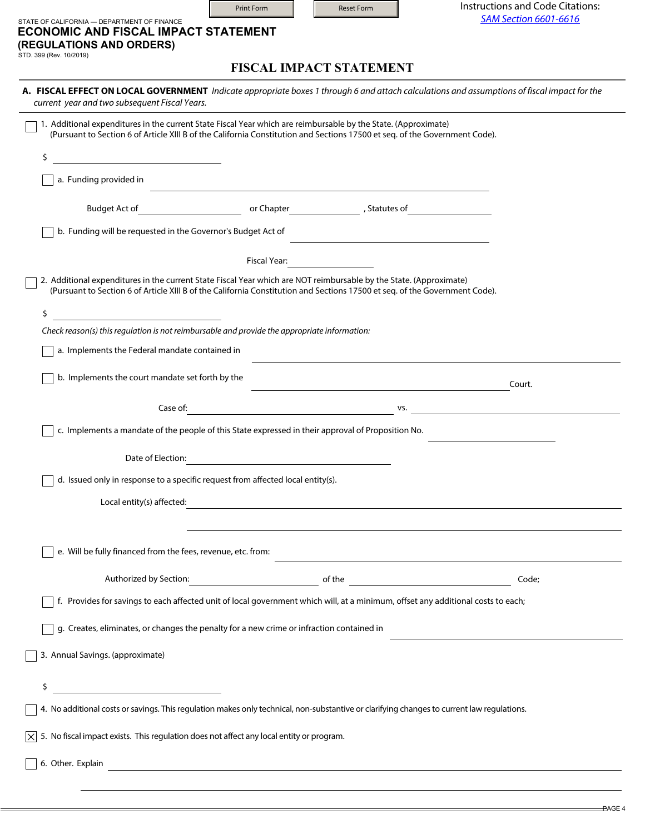|                                                                                                                                                                                                                                               | Print Form                                                                                                             | <b>Reset Form</b>                                                                                                                                                                                                                                                                                                                                                    | Instructions and Code Citations:<br><b>SAM Section 6601-6616</b>                                                                                                                                                               |
|-----------------------------------------------------------------------------------------------------------------------------------------------------------------------------------------------------------------------------------------------|------------------------------------------------------------------------------------------------------------------------|----------------------------------------------------------------------------------------------------------------------------------------------------------------------------------------------------------------------------------------------------------------------------------------------------------------------------------------------------------------------|--------------------------------------------------------------------------------------------------------------------------------------------------------------------------------------------------------------------------------|
| STATE OF CALIFORNIA - DEPARTMENT OF FINANCE<br>ECONOMIC AND FISCAL IMPACT STATEMENT                                                                                                                                                           |                                                                                                                        |                                                                                                                                                                                                                                                                                                                                                                      |                                                                                                                                                                                                                                |
| (REGULATIONS AND ORDERS)<br>STD. 399 (Rev. 10/2019)                                                                                                                                                                                           |                                                                                                                        |                                                                                                                                                                                                                                                                                                                                                                      |                                                                                                                                                                                                                                |
|                                                                                                                                                                                                                                               |                                                                                                                        | <b>FISCAL IMPACT STATEMENT</b>                                                                                                                                                                                                                                                                                                                                       |                                                                                                                                                                                                                                |
| current year and two subsequent Fiscal Years.                                                                                                                                                                                                 |                                                                                                                        |                                                                                                                                                                                                                                                                                                                                                                      | A. FISCAL EFFECT ON LOCAL GOVERNMENT Indicate appropriate boxes 1 through 6 and attach calculations and assumptions of fiscal impact for the                                                                                   |
| 1. Additional expenditures in the current State Fiscal Year which are reimbursable by the State. (Approximate)<br>(Pursuant to Section 6 of Article XIII B of the California Constitution and Sections 17500 et seq. of the Government Code). |                                                                                                                        |                                                                                                                                                                                                                                                                                                                                                                      |                                                                                                                                                                                                                                |
| \$                                                                                                                                                                                                                                            |                                                                                                                        |                                                                                                                                                                                                                                                                                                                                                                      |                                                                                                                                                                                                                                |
| a. Funding provided in                                                                                                                                                                                                                        |                                                                                                                        |                                                                                                                                                                                                                                                                                                                                                                      |                                                                                                                                                                                                                                |
| Budget Act of entitled a series or Chapter                                                                                                                                                                                                    |                                                                                                                        | the control of the control of the control of the control of the control of the control of                                                                                                                                                                                                                                                                            | Statutes of The Contract of The Contract of The Contract of The Contract of The Contract of The Contract of The Contract of The Contract of The Contract of The Contract of The Contract of The Contract of The Contract of Th |
| b. Funding will be requested in the Governor's Budget Act of                                                                                                                                                                                  |                                                                                                                        |                                                                                                                                                                                                                                                                                                                                                                      |                                                                                                                                                                                                                                |
|                                                                                                                                                                                                                                               | Fiscal Year:                                                                                                           | $\mathcal{L}=\frac{1}{2} \sum_{i=1}^{n} \frac{1}{2} \sum_{i=1}^{n} \frac{1}{2} \sum_{i=1}^{n} \frac{1}{2} \sum_{i=1}^{n} \frac{1}{2} \sum_{i=1}^{n} \frac{1}{2} \sum_{i=1}^{n} \frac{1}{2} \sum_{i=1}^{n} \frac{1}{2} \sum_{i=1}^{n} \frac{1}{2} \sum_{i=1}^{n} \frac{1}{2} \sum_{i=1}^{n} \frac{1}{2} \sum_{i=1}^{n} \frac{1}{2} \sum_{i=1}^{n} \frac{1}{2} \sum_{$ |                                                                                                                                                                                                                                |
| 2. Additional expenditures in the current State Fiscal Year which are NOT reimbursable by the State. (Approximate)                                                                                                                            |                                                                                                                        |                                                                                                                                                                                                                                                                                                                                                                      |                                                                                                                                                                                                                                |
| (Pursuant to Section 6 of Article XIII B of the California Constitution and Sections 17500 et seq. of the Government Code).                                                                                                                   |                                                                                                                        |                                                                                                                                                                                                                                                                                                                                                                      |                                                                                                                                                                                                                                |
| \$                                                                                                                                                                                                                                            |                                                                                                                        |                                                                                                                                                                                                                                                                                                                                                                      |                                                                                                                                                                                                                                |
| Check reason(s) this regulation is not reimbursable and provide the appropriate information:<br>a. Implements the Federal mandate contained in                                                                                                |                                                                                                                        |                                                                                                                                                                                                                                                                                                                                                                      |                                                                                                                                                                                                                                |
|                                                                                                                                                                                                                                               |                                                                                                                        |                                                                                                                                                                                                                                                                                                                                                                      |                                                                                                                                                                                                                                |
| b. Implements the court mandate set forth by the                                                                                                                                                                                              |                                                                                                                        |                                                                                                                                                                                                                                                                                                                                                                      | Court.                                                                                                                                                                                                                         |
| Case of:                                                                                                                                                                                                                                      |                                                                                                                        |                                                                                                                                                                                                                                                                                                                                                                      | VS.                                                                                                                                                                                                                            |
| c. Implements a mandate of the people of this State expressed in their approval of Proposition No.                                                                                                                                            |                                                                                                                        |                                                                                                                                                                                                                                                                                                                                                                      |                                                                                                                                                                                                                                |
| Date of Election:                                                                                                                                                                                                                             |                                                                                                                        |                                                                                                                                                                                                                                                                                                                                                                      |                                                                                                                                                                                                                                |
| d. Issued only in response to a specific request from affected local entity(s).                                                                                                                                                               |                                                                                                                        |                                                                                                                                                                                                                                                                                                                                                                      |                                                                                                                                                                                                                                |
| Local entity(s) affected:                                                                                                                                                                                                                     | <u> 1980 - Johann Barbara, martxa alemaniar amerikan a</u>                                                             |                                                                                                                                                                                                                                                                                                                                                                      |                                                                                                                                                                                                                                |
|                                                                                                                                                                                                                                               |                                                                                                                        |                                                                                                                                                                                                                                                                                                                                                                      |                                                                                                                                                                                                                                |
| e. Will be fully financed from the fees, revenue, etc. from:                                                                                                                                                                                  |                                                                                                                        |                                                                                                                                                                                                                                                                                                                                                                      |                                                                                                                                                                                                                                |
| Authorized by Section:                                                                                                                                                                                                                        | <u>of the set of the set of the set of the set of the set of the set of the set of the set of the set of the set o</u> |                                                                                                                                                                                                                                                                                                                                                                      | <u> 1980 - Johann Barbara, martxa eta politikar</u><br>Code;                                                                                                                                                                   |
| f. Provides for savings to each affected unit of local government which will, at a minimum, offset any additional costs to each;                                                                                                              |                                                                                                                        |                                                                                                                                                                                                                                                                                                                                                                      |                                                                                                                                                                                                                                |
| g. Creates, eliminates, or changes the penalty for a new crime or infraction contained in                                                                                                                                                     |                                                                                                                        |                                                                                                                                                                                                                                                                                                                                                                      |                                                                                                                                                                                                                                |
| 3. Annual Savings. (approximate)                                                                                                                                                                                                              |                                                                                                                        |                                                                                                                                                                                                                                                                                                                                                                      |                                                                                                                                                                                                                                |
| \$<br><u> 1990 - Johann Barbara, martin a</u>                                                                                                                                                                                                 |                                                                                                                        |                                                                                                                                                                                                                                                                                                                                                                      |                                                                                                                                                                                                                                |
| 4. No additional costs or savings. This regulation makes only technical, non-substantive or clarifying changes to current law regulations.                                                                                                    |                                                                                                                        |                                                                                                                                                                                                                                                                                                                                                                      |                                                                                                                                                                                                                                |
| 5. No fiscal impact exists. This regulation does not affect any local entity or program.<br>⋉                                                                                                                                                 |                                                                                                                        |                                                                                                                                                                                                                                                                                                                                                                      |                                                                                                                                                                                                                                |
| 6. Other. Explain                                                                                                                                                                                                                             |                                                                                                                        |                                                                                                                                                                                                                                                                                                                                                                      |                                                                                                                                                                                                                                |